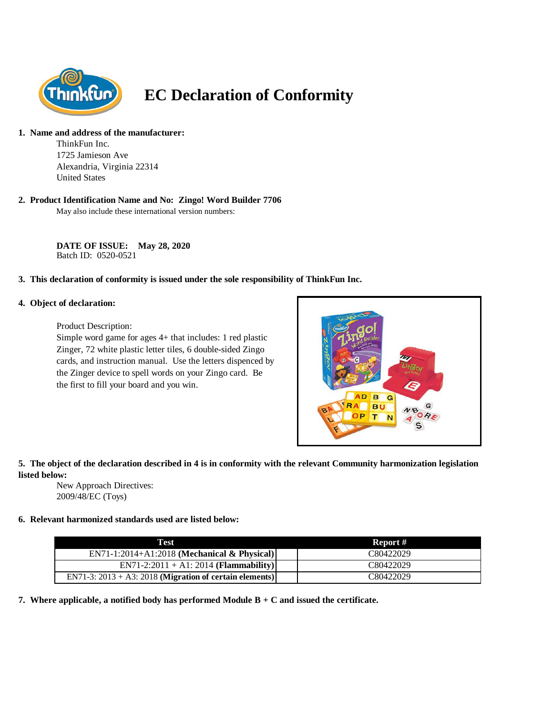

# **EC Declaration of Conformity**

# **1. Name and address of the manufacturer:**

ThinkFun Inc. 1725 Jamieson Ave Alexandria, Virginia 22314 United States

#### **2. Product Identification Name and No: Zingo! Word Builder 7706**

May also include these international version numbers:

**DATE OF ISSUE: May 28, 2020** Batch ID: 0520-0521

#### **3. This declaration of conformity is issued under the sole responsibility of ThinkFun Inc.**

#### **4. Object of declaration:**

Product Description:

Simple word game for ages 4+ that includes: 1 red plastic Zinger, 72 white plastic letter tiles, 6 double-sided Zingo cards, and instruction manual. Use the letters dispenced by the Zinger device to spell words on your Zingo card. Be the first to fill your board and you win.



## **5. The object of the declaration described in 4 is in conformity with the relevant Community harmonization legislation listed below:**

New Approach Directives: 2009/48/EC (Toys)

## **6. Relevant harmonized standards used are listed below:**

| Test                                                       | Report #  |
|------------------------------------------------------------|-----------|
| $EN71-1:2014+A1:2018$ (Mechanical & Physical)              | C80422029 |
| $EN71-2:2011 + A1:2014 (Flammablity)$                      | C80422029 |
| EN71-3: $2013 + A3$ : 2018 (Migration of certain elements) | C80422029 |

**7. Where applicable, a notified body has performed Module B + C and issued the certificate.**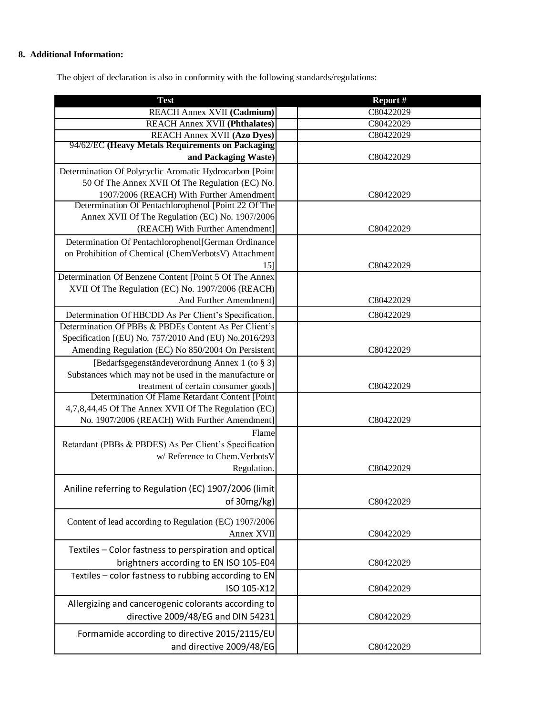# **8. Additional Information:**

The object of declaration is also in conformity with the following standards/regulations:

| <b>Test</b>                                             | Report #  |
|---------------------------------------------------------|-----------|
| REACH Annex XVII (Cadmium)                              | C80422029 |
| <b>REACH Annex XVII (Phthalates)</b>                    | C80422029 |
| <b>REACH Annex XVII (Azo Dyes)</b>                      | C80422029 |
| 94/62/EC (Heavy Metals Requirements on Packaging        |           |
| and Packaging Waste)                                    | C80422029 |
| Determination Of Polycyclic Aromatic Hydrocarbon [Point |           |
| 50 Of The Annex XVII Of The Regulation (EC) No.         |           |
| 1907/2006 (REACH) With Further Amendment                | C80422029 |
| Determination Of Pentachlorophenol [Point 22 Of The     |           |
| Annex XVII Of The Regulation (EC) No. 1907/2006         |           |
| (REACH) With Further Amendment]                         | C80422029 |
| Determination Of Pentachlorophenol[German Ordinance     |           |
| on Prohibition of Chemical (ChemVerbotsV) Attachment    |           |
| 15]                                                     | C80422029 |
| Determination Of Benzene Content [Point 5 Of The Annex  |           |
| XVII Of The Regulation (EC) No. 1907/2006 (REACH)       |           |
| And Further Amendment]                                  | C80422029 |
| Determination Of HBCDD As Per Client's Specification.   | C80422029 |
| Determination Of PBBs & PBDEs Content As Per Client's   |           |
| Specification [(EU) No. 757/2010 And (EU) No.2016/293   |           |
| Amending Regulation (EC) No 850/2004 On Persistent      | C80422029 |
| [Bedarfsgegenständeverordnung Annex 1 (to § 3)]         |           |
| Substances which may not be used in the manufacture or  |           |
| treatment of certain consumer goods]                    | C80422029 |
| Determination Of Flame Retardant Content [Point         |           |
| 4,7,8,44,45 Of The Annex XVII Of The Regulation (EC)    |           |
| No. 1907/2006 (REACH) With Further Amendment]           | C80422029 |
| Flame                                                   |           |
| Retardant (PBBs & PBDES) As Per Client's Specification  |           |
| w/ Reference to Chem. Verbots V                         |           |
| Regulation.                                             | C80422029 |
|                                                         |           |
| Aniline referring to Regulation (EC) 1907/2006 (limit   |           |
| of 30mg/kg)                                             | C80422029 |
| Content of lead according to Regulation (EC) 1907/2006  |           |
| Annex XVII                                              | C80422029 |
|                                                         |           |
| Textiles - Color fastness to perspiration and optical   |           |
| brightners according to EN ISO 105-E04                  | C80422029 |
| Textiles - color fastness to rubbing according to EN    |           |
| ISO 105-X12                                             | C80422029 |
| Allergizing and cancerogenic colorants according to     |           |
| directive 2009/48/EG and DIN 54231                      | C80422029 |
|                                                         |           |
| Formamide according to directive 2015/2115/EU           |           |
| and directive 2009/48/EG                                | C80422029 |